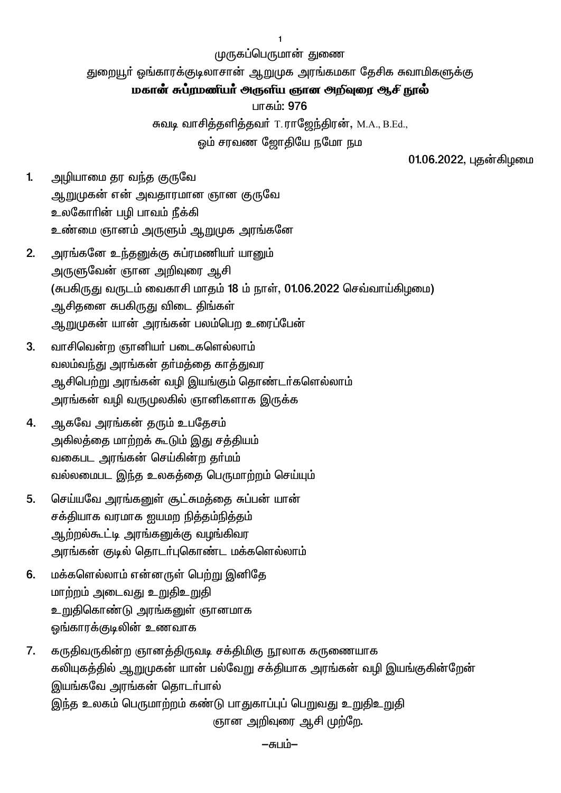முருகப்பெருமான் துணை

துறையூர் ஓங்காரக்குடிலாசான் ஆறுமுக அரங்கமகா தேசிக சுவாமிகளுக்கு

### மகான் சுப்ரமணீயா அருளிய ஞான அறிவுரை ஆசி நூல்

பாகம்: 976

சுவடி வாசித்தளித்தவர் T.ராஜேந்திரன், M.A., B.Ed.,

ஒம் சரவண ஜோதியே நமோ நம

01.06.2022, புதன்கிழமை

- $1<sub>1</sub>$ அழியாமை தர வந்த குருவே ஆறுமுகன் என் அவதாரமான ஞான குருவே உலகோரின் பழி பாவம் நீக்கி உண்மை ஞானம் அருளும் ஆறுமுக அரங்கனே
- அரங்கனே உந்தனுக்கு சுப்ரமணியர் யானும்  $2.$ அருளுவேன் ஞான அறிவுரை ஆசி (சுபகிருது வருடம் வைகாசி மாதம் 18 ம் நாள், 01.06.2022 செவ்வாய்கிழமை) ஆசிதனை சுபகிருது விடை திங்கள் ஆறுமுகன் யான் அரங்கன் பலம்பெற உரைப்பேன்
- வாசிவென்ற ஞானியர் படைகளெல்லாம்  $3<sub>1</sub>$ வலம்வந்து அரங்கன் தா்மத்தை காத்துவர ஆசிபெற்று அரங்கன் வழி இயங்கும் தொண்டர்களெல்லாம் அரங்கன் வழி வருமுலகில் ஞானிகளாக இருக்க
- ஆகவே அரங்கன் தரும் உபதேசம்  $\overline{4}$ . அகிலத்தை மாற்றக் கூடும் இது சத்தியம் வகைபட அரங்கன் செய்கின்ற தா்மம் வல்லமைபட இந்த உலகத்தை பெருமாற்றம் செய்யும்
- செய்யவே அரங்கனுள் சூட்சுமத்தை சுப்பன் யான் 5. சக்தியாக வரமாக ஐயமற நித்தம்நித்தம் ஆற்றல்கூட்டி அரங்கனுக்கு வழங்கிவர அரங்கன் குடில் தொடா்புகொண்ட மக்களெல்லாம்
- மக்களெல்லாம் என்னருள் பெற்று இனிதே 6. மாற்றம் அடைவது உறுதிஉறுதி உறுதிகொண்டு அரங்கனுள் ஞானமாக ஒங்காரக்குடிலின் உணவாக
- $7<sub>1</sub>$ கருதிவருகின்ற ஞானத்திருவடி சக்திமிகு நூலாக கருணையாக கலியுகத்தில் ஆறுமுகன் யான் பல்வேறு சக்தியாக அரங்கன் வழி இயங்குகின்றேன் இயங்கவே அரங்கன் தொடர்பால் இந்த உலகம் பெருமாற்றம் கண்டு பாதுகாப்புப் பெறுவது உறுதிஉறுதி ஞான அறிவுரை ஆசி முற்றே.

–சுபம்–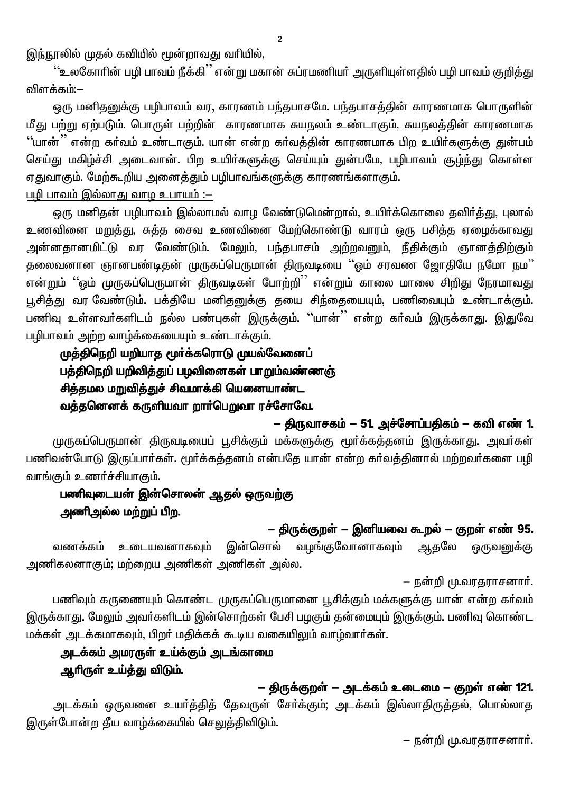இந்நூலில் முதல் கவியில் மூன்றாவது வரியில்,

<u>''உ</u>லகோரின் பழி பாவம் நீக்கி<sup>''</sup> என்று மகான் சுப்ரமணியர் அருளியுள்ளதில் பழி பாவம் குறித்து விளக்கம்:–

ஒரு மனிதனுக்கு பழிபாவம் வர, காரணம் பந்தபாசமே. பந்தபாசத்தின் காரணமாக பொருளின் மீது பற்று ஏற்படும். பொருள் பற்றின் காரணமாக சுயநலம் உண்டாகும், சுயநலத்தின் காரணமாக ''யான்<sup>''</sup> என்ற கர்வம் உண்டாகும். யான் என்ற கர்வத்தின் காரணமாக பிற உயிர்களுக்கு துன்பம் செய்து மகிழ்ச்சி அடைவான். பிற உயிர்களுக்கு செய்யும் துன்பமே, பழிபாவம் சூழ்ந்து கொள்ள ஏதுவாகும். மேற்கூறிய அனைத்தும் பழிபாவங்களுக்கு காரணங்களாகும். <u>பழி பாவம் இல்லாது வாழ உபாயம் :—</u>

ஒரு மனிதன் பழிபாவம் இல்லாமல் வாழ வேண்டுமென்றால், உயிர்க்கொலை தவிர்த்து, புலால் உணவினை மறுத்து, சுத்த சைவ உணவினை மேற்கொண்டு வாரம் ஒரு பசித்த ஏழைக்காவது அன்னதானமிட்டு வர வேண்டும். மேலும், பந்தபாசம் அற்றவனும், நீதிக்கும் ஞானத்திற்கும் தலைவனான ஞானபண்டிதன் முருகப்பெருமான் திருவடியை ''ஓம் சரவண ஜோதியே நமோ நம'' என்றும் ''ஒம் முருகப்பெருமான் திருவடிகள் போற்றி'' என்றும் காலை மாலை சிறிது நேரமாவது பூசித்து வர வேண்டும். பக்தியே மனிதனுக்கு தயை சிந்தையையும், பணிவையும் உண்டாக்கும். பணிவு உள்ளவர்களிடம் நல்ல பண்புகள் இருக்கும். ''யான்'' என்ற கர்வம் இருக்காது. இதுவே பழிபாவம் அற்ற வாழ்க்கையையும் உண்டாக்கும்.

# முத்திநெறி யறியாத மூர்க்கரொடு முயல்வேளைப் பத்திநெறி யறிவித்துப் பழவினைகள் பாறும்வண்ணஞ் சித்தமல மறுவித்துச் சிவமாக்கி யெனையாண்ட வத்தனெனக் கருளியவா றார்பெறுவா ரச்சோவே.

### – திருவாசகம் – 51. அச்சோப்பதிகம் – கவி எண் 1.

முருகப்பெருமான் திருவடியைப் பூசிக்கும் மக்களுக்கு மூர்க்கத்தனம் இருக்காது. அவர்கள் பணிவன்போடு இருப்பார்கள். மூர்க்கத்தனம் என்பதே யான் என்ற கர்வத்தினால் மற்றவர்களை பழி வாங்கும் உணர்ச்சியாகும்.

# பணிவுடையன் இன்சொலன் ஆதல் ஒருவற்கு அணிஅல்ல மற்றுப் பிற.

#### — திருக்குறள் — இனியவை கூறல் — குறள் எண் 95.

ஆதலே வழங்குவோனாகவும் உடையவனாகவும் இன்சொல் ஒருவனுக்கு வணக்கம் அணிகலனாகும்; மற்றைய அணிகள் அணிகள் அல்ல.

– நன்றி மு.வரதராசனார்.

பணிவும் கருணையும் கொண்ட முருகப்பெருமானை பூசிக்கும் மக்களுக்கு யான் என்ற கா்வம் இருக்காது. மேலும் அவர்களிடம் இன்சொற்கள் பேசி பழகும் தன்மையும் இருக்கும். பணிவு கொண்ட மக்கள் அடக்கமாகவும், பிறர் மதிக்கக் கூடிய வகையிலும் வாழ்வார்கள்.

# அடக்கம் அமரருள் உய்க்கும் அடங்காமை ஆரிருள் உய்த்து விடும்.

## – திருக்குறள் – அடக்கம் உடைமை – குறள் எண் 121.

அடக்கம் ஒருவனை உயர்த்தித் தேவருள் சேர்க்கும்; அடக்கம் இல்லாதிருத்தல், பொல்லாத இருள்போன்ற தீய வாழ்க்கையில் செலுத்திவிடும்.

– நன்றி மு.வரதராசனார்.

 $\overline{2}$